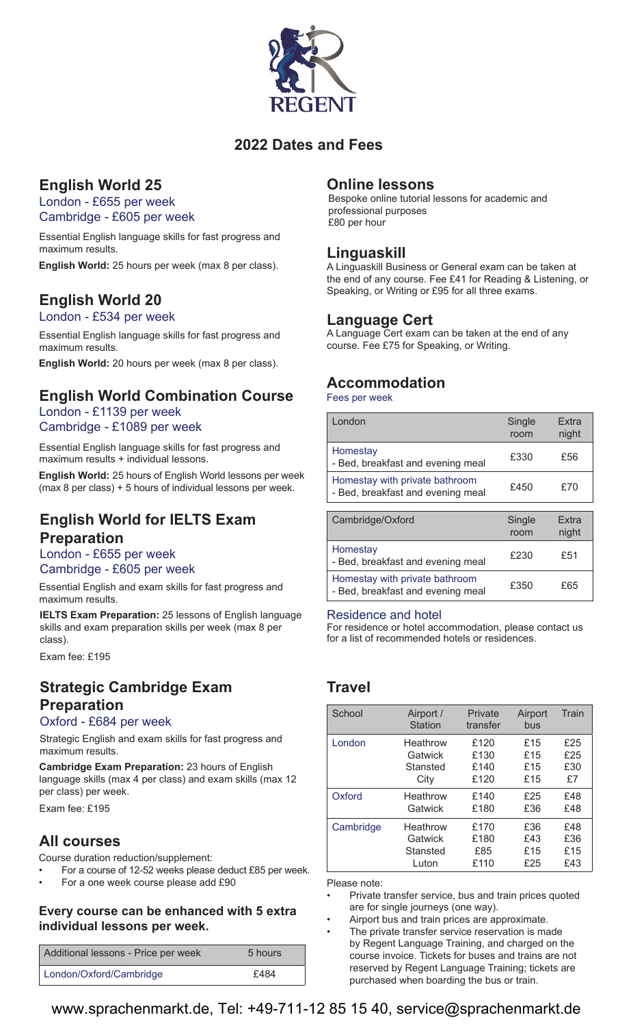

## **2022 Dates and Fees**

# **English World 25**

London - £655 per week Cambridge - £605 per week

Essential English language skills for fast progress and maximum results.

**English World:** 25 hours per week (max 8 per class).

# **English World 20**

London - £534 per week

Essential English language skills for fast progress and maximum results.

**English World:** 20 hours per week (max 8 per class).

# **English World Combination Course**

### London - £1139 per week Cambridge - £1089 per week

Essential English language skills for fast progress and maximum results + individual lessons.

**English World:** 25 hours of English World lessons per week (max 8 per class) + 5 hours of individual lessons per week.

### **English World for IELTS Exam Preparation**

London - £655 per week

Cambridge - £605 per week

Essential English and exam skills for fast progress and maximum results.

**IELTS Exam Preparation:** 25 lessons of English language skills and exam preparation skills per week (max 8 per class).

Exam fee: £195

# **Strategic Cambridge Exam Preparation**

#### Oxford - £684 per week

Strategic English and exam skills for fast progress and maximum results.

**Cambridge Exam Preparation:** 23 hours of English language skills (max 4 per class) and exam skills (max 12 per class) per week.

Exam fee: £195

### **All courses**

Course duration reduction/supplement:

- For a course of 12-52 weeks please deduct £85 per week.
- For a one week course please add £90

### **Every course can be enhanced with 5 extra individual lessons per week.**

| Additional lessons - Price per week | 5 hours |
|-------------------------------------|---------|
| London/Oxford/Cambridge             | £484    |

### **Online lessons**

Bespoke online tutorial lessons for academic and professional purposes £80 per hour

### **Linguaskill**

A Linguaskill Business or General exam can be taken at the end of any course. Fee £41 for Reading & Listening, or Speaking, or Writing or £95 for all three exams.

### **Language Cert**

A Language Cert exam can be taken at the end of any course. Fee £75 for Speaking, or Writing.

## **Accommodation**

Fees per week

| I ondon                                                             | Single<br>room | <b>Fxtra</b><br>night |
|---------------------------------------------------------------------|----------------|-----------------------|
| Homestay<br>- Bed, breakfast and evening meal                       | £330           | £56                   |
| Homestay with private bathroom<br>- Bed, breakfast and evening meal | £450           | £70                   |
|                                                                     |                |                       |

| Cambridge/Oxford                                                    | Single<br>room | <b>Fxtra</b><br>night |
|---------------------------------------------------------------------|----------------|-----------------------|
| Homestay<br>- Bed, breakfast and evening meal                       | £230           | £51                   |
| Homestay with private bathroom<br>- Bed, breakfast and evening meal | £350           | £65                   |

#### Residence and hotel

For residence or hotel accommodation, please contact us for a list of recommended hotels or residences.

# **Travel**

| School    | Airport /<br>Station | Private<br>transfer | Airport<br>bus | Train |
|-----------|----------------------|---------------------|----------------|-------|
| I ondon   | Heathrow             | £120                | £15            | £25   |
|           | Gatwick              | £130                | £15            | £25   |
|           | Stansted             | £140                | £15            | £30   |
|           | City                 | £120                | £15            | £7    |
| Oxford    | Heathrow             | £140                | £25            | £48   |
|           | Gatwick              | £180                | £36            | £48   |
| Cambridge | Heathrow             | £170                | £36            | £48   |
|           | Gatwick              | £180                | £43            | £36   |
|           | Stansted             | £85                 | £15            | £15   |
|           | Luton                | £110                | £25            | £43   |

Please note:

- Private transfer service, bus and train prices quoted are for single journeys (one way).
- Airport bus and train prices are approximate. The private transfer service reservation is made by Regent Language Training, and charged on the course invoice. Tickets for buses and trains are not

reserved by Regent Language Training; tickets are purchased when boarding the bus or train.

www.sprachenmarkt.de, Tel: +49-711-12 85 15 40, service@sprachenmarkt.de